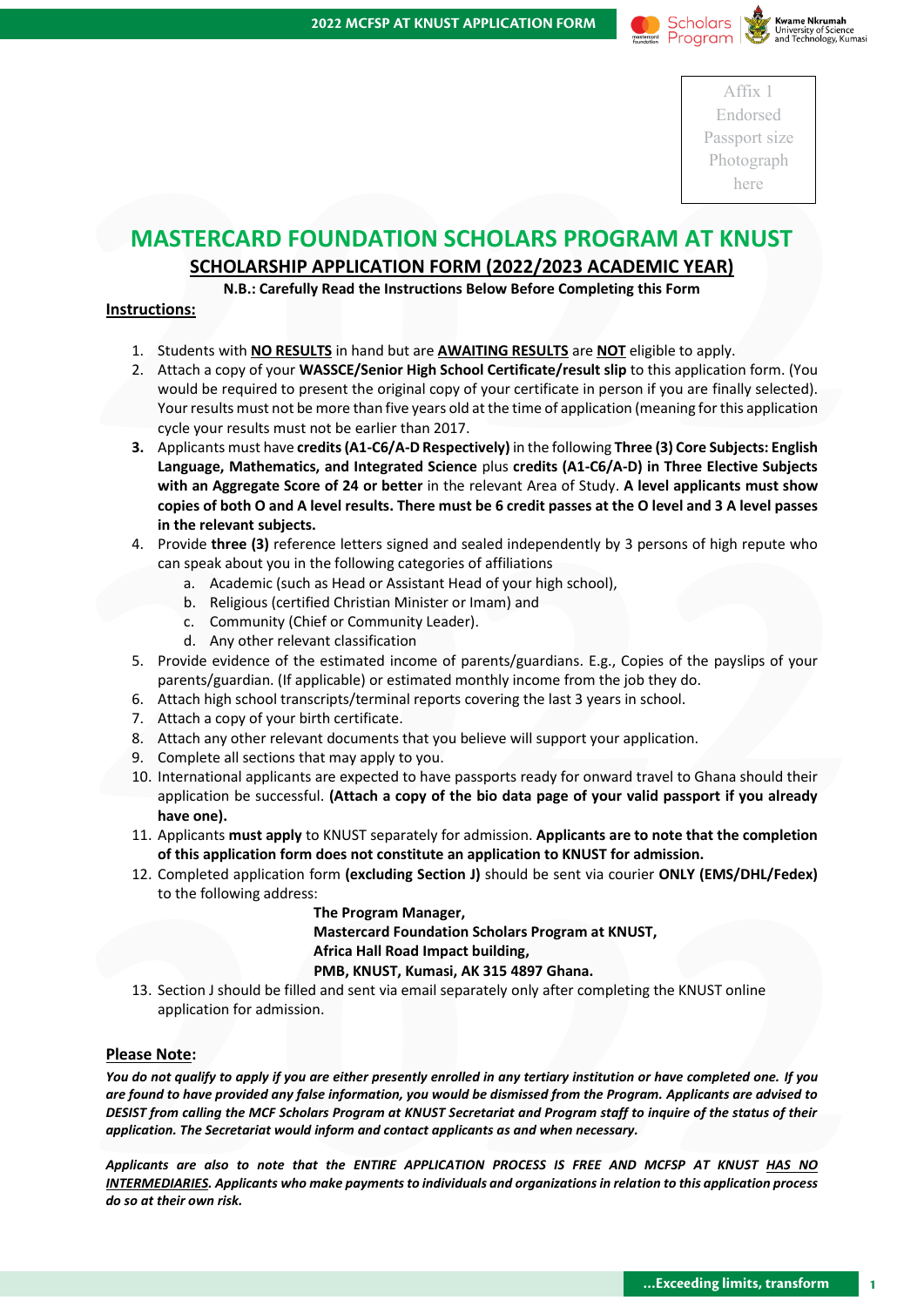



Affix 1 Endorsed Passport size Photograph here

# **MASTERCARD FOUNDATION SCHOLARS PROGRAM AT KNUST**

### **SCHOLARSHIP APPLICATION FORM (2022/2023 ACADEMIC YEAR)**

**N.B.: Carefully Read the Instructions Below Before Completing this Form**

#### **Instructions:**

- 1. Students with **NO RESULTS** in hand but are **AWAITING RESULTS** are **NOT** eligible to apply.
- 2. Attach a copy of your **WASSCE/Senior High School Certificate/result slip** to this application form. (You would be required to present the original copy of your certificate in person if you are finally selected). Your results must not be more than five years old at the time of application (meaning for this application cycle your results must not be earlier than 2017.
- **EXECTS AND FOUNDATION SCHOLARS PROGRAM AT KNUST**<br> **2022/2023 ACADEMIC VEAR)**<br> **2022/2023 ACADEMIC VEAR)**<br> **2022/2023 ACADEMIC VEAR)**<br> **2022/2023 ACADEMIC VEAR)**<br> **2022/2023 ACADEMIC VEAR)**<br> **2022/2023 ACADEMIC VEAR)**<br> **20 3.** Applicants must have **credits (A1-C6/A-D Respectively)** in the following **Three (3) Core Subjects: English Language, Mathematics, and Integrated Science** plus **credits (A1-C6/A-D) in Three Elective Subjects with an Aggregate Score of 24 or better** in the relevant Area of Study. **A level applicants must show copies of both O and A level results. There must be 6 credit passes at the O level and 3 A level passes in the relevant subjects.**
	- 4. Provide **three (3)** reference letters signed and sealed independently by 3 persons of high repute who can speak about you in the following categories of affiliations
		- a. Academic (such as Head or Assistant Head of your high school),
		- b. Religious (certified Christian Minister or Imam) and
		- c. Community (Chief or Community Leader).
		- d. Any other relevant classification
	- 5. Provide evidence of the estimated income of parents/guardians. E.g., Copies of the payslips of your parents/guardian. (If applicable) or estimated monthly income from the job they do.
	- 6. Attach high school transcripts/terminal reports covering the last 3 years in school.
	- 7. Attach a copy of your birth certificate.
	- 8. Attach any other relevant documents that you believe will support your application.
	- 9. Complete all sections that may apply to you.
- The relevant subjects. There in this be o cleant passes at the O rever and 3 A rever passes<br>
2. Provide three (3) reference letters signed and sealed independently by 3 persons of high repute who<br>
can speak about you in th 10. International applicants are expected to have passports ready for onward travel to Ghana should their application be successful. **(Attach a copy of the bio data page of your valid passport if you already have one).**
	- 11. Applicants **must apply** to KNUST separately for admission. **Applicants are to note that the completion of this application form does not constitute an application to KNUST for admission.**
	- 12. Completed application form **(excluding Section J)** should be sent via courier **ONLY (EMS/DHL/Fedex)** to the following address:

**The Program Manager, Mastercard Foundation Scholars Program at KNUST, Africa Hall Road Impact building, PMB, KNUST, Kumasi, AK 315 4897 Ghana.**

13. Section J should be filled and sent via email separately only after completing the KNUST online application for admission.

#### **Please Note:**

12. Completed application form (excluding Section J) should be sent via courier ONLY (EMS/DHL/Fedex)<br>
to the following addres:<br> **2022** The Program Manager,<br> **2022** The Program Manager,<br> **2023** The Program Manager,<br> **2023** *You do not qualify to apply if you are either presently enrolled in any tertiary institution or have completed one. If you are found to have provided any false information, you would be dismissed from the Program. Applicants are advised to DESIST from calling the MCF Scholars Program at KNUST Secretariat and Program staff to inquire of the status of their application. The Secretariat would inform and contact applicants as and when necessary.*

*Applicants are also to note that the ENTIRE APPLICATION PROCESS IS FREE AND MCFSP AT KNUST HAS NO INTERMEDIARIES. Applicants who make payments to individuals and organizations in relation to this application process do so at their own risk.*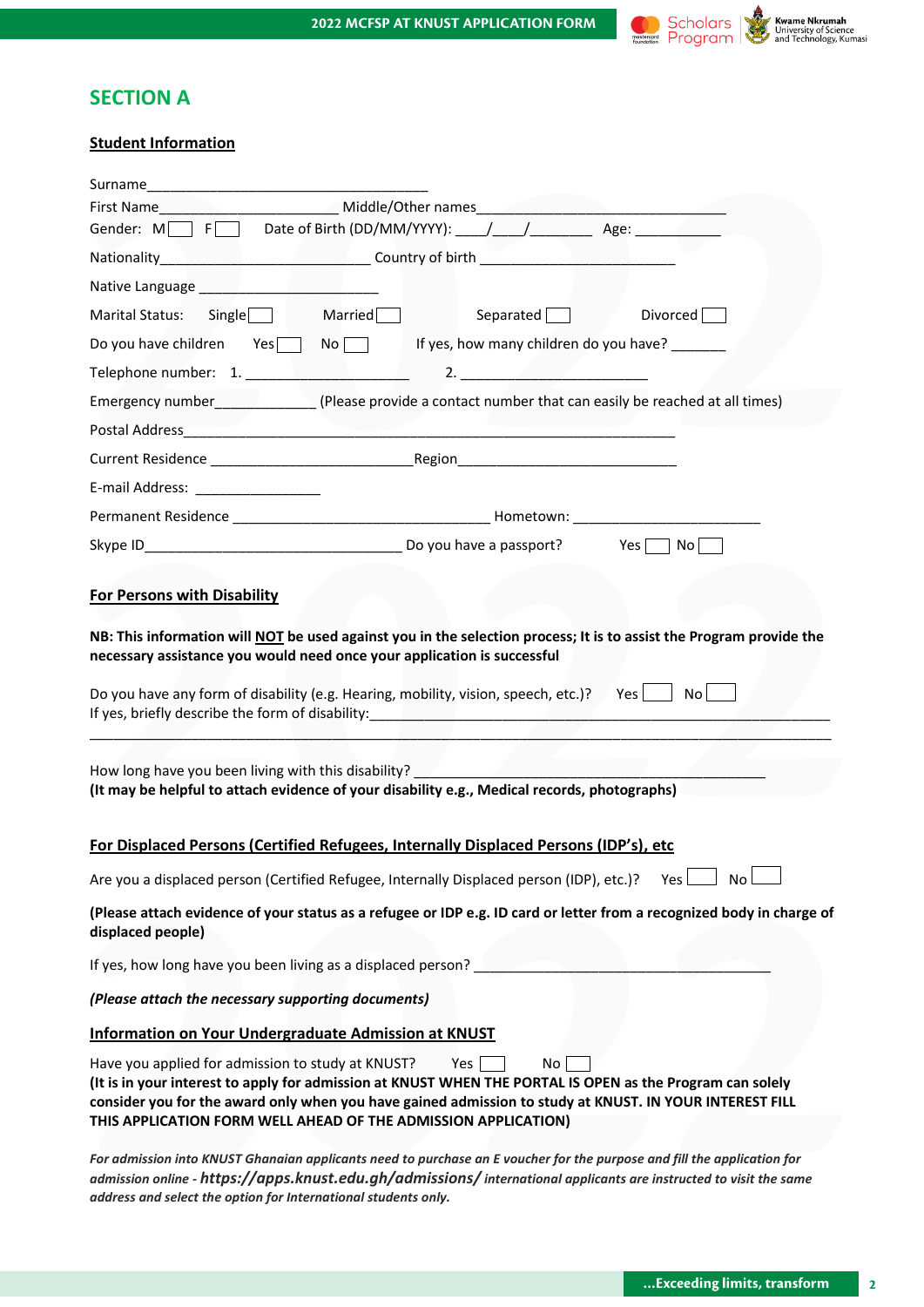

# **SECTION A**

### **Student Information**

| <b>Student Information</b>                                     |                                                                                                                                                                                                                                                                                                     |
|----------------------------------------------------------------|-----------------------------------------------------------------------------------------------------------------------------------------------------------------------------------------------------------------------------------------------------------------------------------------------------|
|                                                                |                                                                                                                                                                                                                                                                                                     |
|                                                                |                                                                                                                                                                                                                                                                                                     |
|                                                                | Gender: M F Date of Birth (DD/MM/YYYY): // // Age: Age:                                                                                                                                                                                                                                             |
|                                                                | Nationality <b>All According to the Country of birth COUNTY OF STATE ACCOUNT ASSESS</b>                                                                                                                                                                                                             |
| Native Language ___________________________                    |                                                                                                                                                                                                                                                                                                     |
| Marital Status: Single Married                                 | Separated Divorced                                                                                                                                                                                                                                                                                  |
|                                                                | Do you have children Yes No No If yes, how many children do you have?                                                                                                                                                                                                                               |
|                                                                | $\sim$ 2.                                                                                                                                                                                                                                                                                           |
|                                                                | Emergency number_______________________(Please provide a contact number that can easily be reached at all times)                                                                                                                                                                                    |
|                                                                |                                                                                                                                                                                                                                                                                                     |
|                                                                |                                                                                                                                                                                                                                                                                                     |
|                                                                |                                                                                                                                                                                                                                                                                                     |
|                                                                |                                                                                                                                                                                                                                                                                                     |
|                                                                |                                                                                                                                                                                                                                                                                                     |
|                                                                |                                                                                                                                                                                                                                                                                                     |
| <b>For Persons with Disability</b>                             |                                                                                                                                                                                                                                                                                                     |
|                                                                | How long have you been living with this disability? ____________________________<br>(It may be helpful to attach evidence of your disability e.g., Medical records, photographs)<br>For Displaced Persons (Certified Refugees, Internally Displaced Persons (IDP's), etc                            |
|                                                                | Are you a displaced person (Certified Refugee, Internally Displaced person (IDP), etc.)?<br>Yes  <br>No                                                                                                                                                                                             |
|                                                                | (Please attach evidence of your status as a refugee or IDP e.g. ID card or letter from a recognized body in charge of                                                                                                                                                                               |
| displaced people)                                              |                                                                                                                                                                                                                                                                                                     |
| If yes, how long have you been living as a displaced person?   |                                                                                                                                                                                                                                                                                                     |
| (Please attach the necessary supporting documents)             |                                                                                                                                                                                                                                                                                                     |
| Information on Your Undergraduate Admission at KNUST           |                                                                                                                                                                                                                                                                                                     |
| Have you applied for admission to study at KNUST?              | Yes<br>No<br>(It is in your interest to apply for admission at KNUST WHEN THE PORTAL IS OPEN as the Program can solely<br>consider you for the award only when you have gained admission to study at KNUST. IN YOUR INTEREST FILL<br>THIS APPLICATION FORM WELL AHEAD OF THE ADMISSION APPLICATION) |
| address and select the option for International students only. | For admission into KNUST Ghanaian applicants need to purchase an E voucher for the purpose and fill the application for<br>admission online - https://apps.knust.edu.gh/admissions/ international applicants are instructed to visit the same                                                       |
|                                                                |                                                                                                                                                                                                                                                                                                     |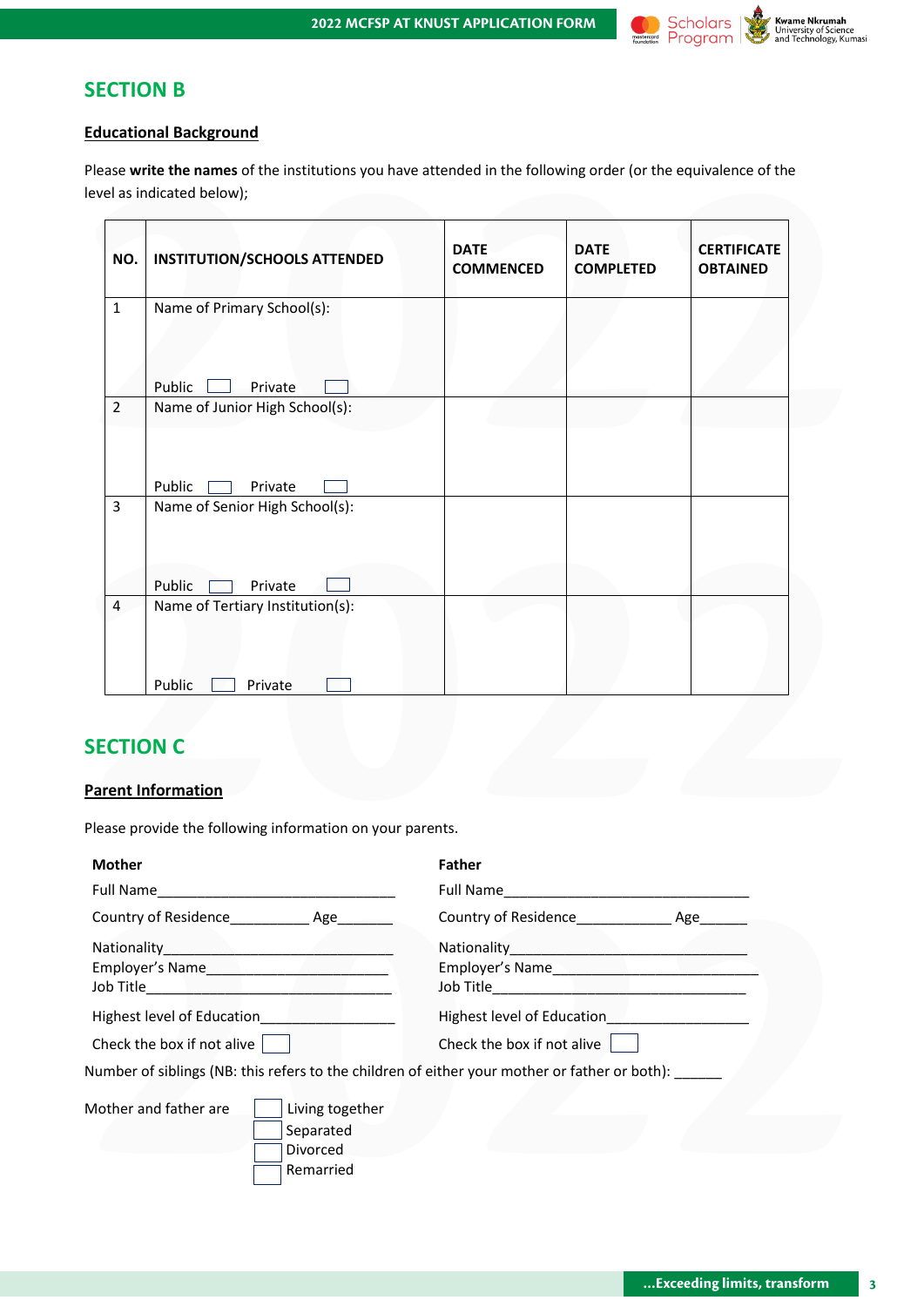

### **SECTION B**

### **Educational Background**

| NO.            | <b>INSTITUTION/SCHOOLS ATTENDED</b> | <b>DATE</b><br><b>COMMENCED</b> | <b>DATE</b><br><b>COMPLETED</b> | <b>CERTIFICATE</b><br><b>OBTAINED</b> |
|----------------|-------------------------------------|---------------------------------|---------------------------------|---------------------------------------|
| $\mathbf{1}$   | Name of Primary School(s):          |                                 |                                 |                                       |
|                | Public<br>Private                   |                                 |                                 |                                       |
| $\overline{2}$ | Name of Junior High School(s):      |                                 |                                 |                                       |
|                | Public<br>Private                   |                                 |                                 |                                       |
| $\overline{3}$ | Name of Senior High School(s):      |                                 |                                 |                                       |
|                | Public<br>Private                   |                                 |                                 |                                       |
| $\overline{4}$ | Name of Tertiary Institution(s):    |                                 |                                 |                                       |
|                | Public<br>Private                   |                                 |                                 |                                       |
|                |                                     |                                 |                                 |                                       |
|                | <b>SECTION C</b>                    |                                 |                                 |                                       |
|                | <b>Parent Information</b>           |                                 |                                 |                                       |

# **SECTION C**

### **Parent Information**

| <b>Mother</b>                                                                                 | <b>Father</b>                               |
|-----------------------------------------------------------------------------------------------|---------------------------------------------|
|                                                                                               |                                             |
| Country of Residence______________ Age________                                                | Country of Residence<br>Manusculphe and Age |
| Highest level of Education                                                                    | Employer's Name                             |
| Check the box if not alive                                                                    | Check the box if not alive                  |
| Number of siblings (NB: this refers to the children of either your mother or father or both): |                                             |
| Mother and father are<br>Living together<br>Separated<br>Divorced<br>Remarried                |                                             |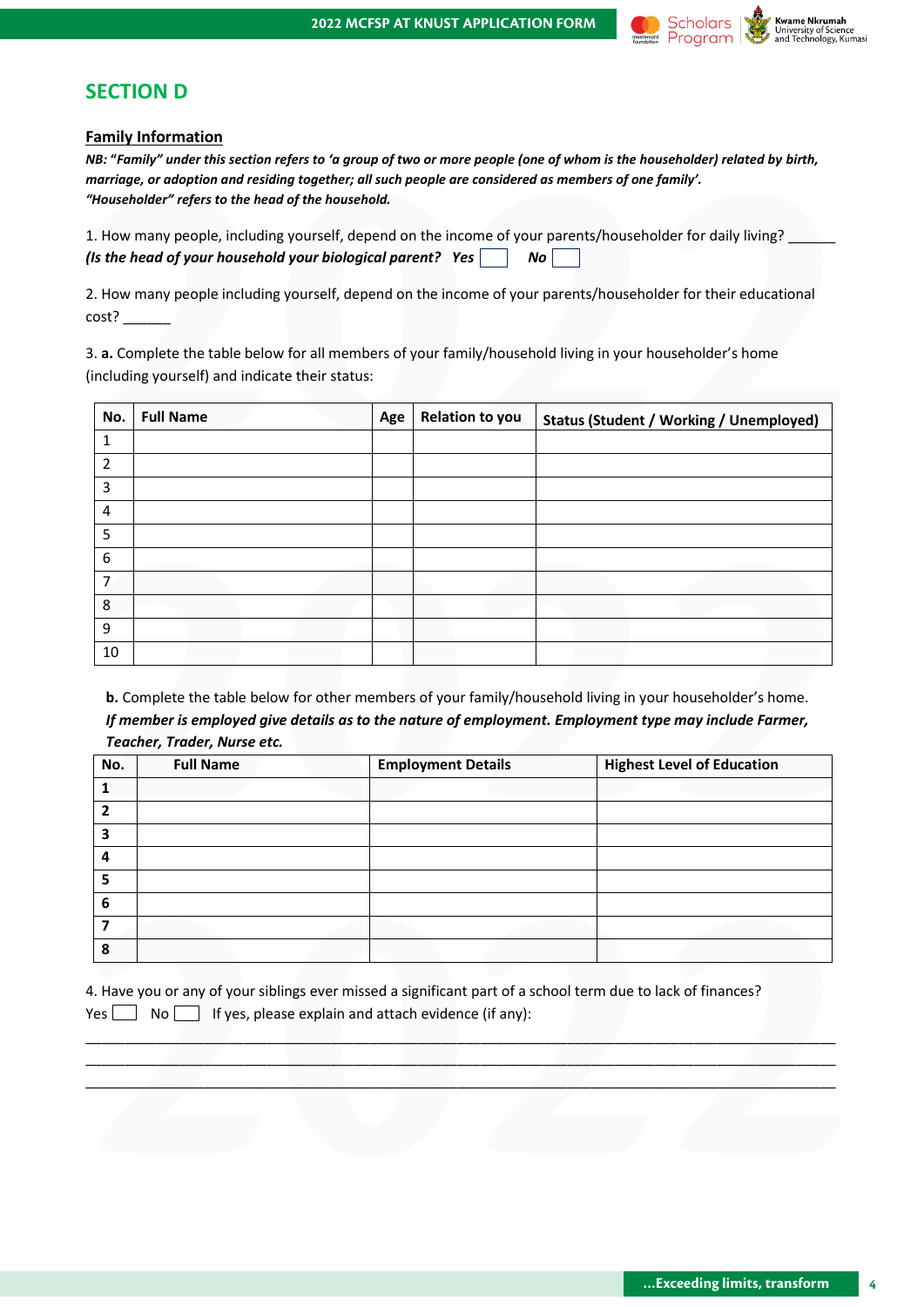

### **SECTION D**

#### **Family Information**

| 1. How many people, including yourself, depend on the income of your parents/householder for daily living? |                |  |
|------------------------------------------------------------------------------------------------------------|----------------|--|
| (Is the head of your household your biological parent? Yes                                                 | N <sub>O</sub> |  |

|                | <u>Family information</u><br>marriage, or adoption and residing together; all such people are considered as members of one family'.<br>"Householder" refers to the head of the household. |     |                           |    | NB: "Family" under this section refers to 'a group of two or more people (one of whom is the householder) related by birth,                                                                                         |
|----------------|-------------------------------------------------------------------------------------------------------------------------------------------------------------------------------------------|-----|---------------------------|----|---------------------------------------------------------------------------------------------------------------------------------------------------------------------------------------------------------------------|
|                |                                                                                                                                                                                           |     |                           |    | 1. How many people, including yourself, depend on the income of your parents/householder for daily living?                                                                                                          |
|                | (Is the head of your household your biological parent? Yes                                                                                                                                |     |                           | No |                                                                                                                                                                                                                     |
|                | cost?                                                                                                                                                                                     |     |                           |    | 2. How many people including yourself, depend on the income of your parents/householder for their educational                                                                                                       |
|                | 3. a. Complete the table below for all members of your family/household living in your householder's home<br>(including yourself) and indicate their status:                              |     |                           |    |                                                                                                                                                                                                                     |
| No.            | <b>Full Name</b>                                                                                                                                                                          | Age | <b>Relation to you</b>    |    | <b>Status (Student / Working / Unemployed)</b>                                                                                                                                                                      |
| 1              |                                                                                                                                                                                           |     |                           |    |                                                                                                                                                                                                                     |
| 2              |                                                                                                                                                                                           |     |                           |    |                                                                                                                                                                                                                     |
| 3              |                                                                                                                                                                                           |     |                           |    |                                                                                                                                                                                                                     |
| 4              |                                                                                                                                                                                           |     |                           |    |                                                                                                                                                                                                                     |
| 5              |                                                                                                                                                                                           |     |                           |    |                                                                                                                                                                                                                     |
| 6              |                                                                                                                                                                                           |     |                           |    |                                                                                                                                                                                                                     |
| 7              |                                                                                                                                                                                           |     |                           |    |                                                                                                                                                                                                                     |
| 8              |                                                                                                                                                                                           |     |                           |    |                                                                                                                                                                                                                     |
| 9              |                                                                                                                                                                                           |     |                           |    |                                                                                                                                                                                                                     |
| 10             |                                                                                                                                                                                           |     |                           |    | b. Complete the table below for other members of your family/household living in your householder's home.<br>If member is employed give details as to the nature of employment. Employment type may include Farmer, |
|                | Teacher, Trader, Nurse etc.                                                                                                                                                               |     |                           |    |                                                                                                                                                                                                                     |
| No.            | <b>Full Name</b>                                                                                                                                                                          |     | <b>Employment Details</b> |    | <b>Highest Level of Education</b>                                                                                                                                                                                   |
| 1              |                                                                                                                                                                                           |     |                           |    |                                                                                                                                                                                                                     |
| $\overline{2}$ |                                                                                                                                                                                           |     |                           |    |                                                                                                                                                                                                                     |
| 3              |                                                                                                                                                                                           |     |                           |    |                                                                                                                                                                                                                     |
| 4              |                                                                                                                                                                                           |     |                           |    |                                                                                                                                                                                                                     |
| 5              |                                                                                                                                                                                           |     |                           |    |                                                                                                                                                                                                                     |

| If yes, please explain and attach evidence (if any):<br>No | $\mathbf 1$<br>$\overline{2}$<br>$\overline{\mathbf{3}}$<br>$\overline{\mathbf{4}}$<br>5<br>$\bf 6$<br>$\overline{\mathbf{z}}$<br>8 | 4. Have you or any of your siblings ever missed a significant part of a school term due to lack of finances? |       | No. | <b>Full Name</b> | <b>Employment Details</b> | <b>Highest Level of Education</b> |
|------------------------------------------------------------|-------------------------------------------------------------------------------------------------------------------------------------|--------------------------------------------------------------------------------------------------------------|-------|-----|------------------|---------------------------|-----------------------------------|
|                                                            |                                                                                                                                     |                                                                                                              |       |     |                  |                           |                                   |
|                                                            |                                                                                                                                     |                                                                                                              |       |     |                  |                           |                                   |
|                                                            |                                                                                                                                     |                                                                                                              |       |     |                  |                           |                                   |
|                                                            |                                                                                                                                     |                                                                                                              |       |     |                  |                           |                                   |
|                                                            |                                                                                                                                     |                                                                                                              |       |     |                  |                           |                                   |
|                                                            |                                                                                                                                     |                                                                                                              |       |     |                  |                           |                                   |
|                                                            |                                                                                                                                     |                                                                                                              | Yes [ |     |                  |                           |                                   |
|                                                            |                                                                                                                                     |                                                                                                              |       |     |                  |                           |                                   |
|                                                            |                                                                                                                                     |                                                                                                              |       |     |                  |                           |                                   |
|                                                            |                                                                                                                                     |                                                                                                              |       |     |                  |                           |                                   |
|                                                            |                                                                                                                                     |                                                                                                              |       |     |                  |                           |                                   |
|                                                            |                                                                                                                                     |                                                                                                              |       |     |                  |                           |                                   |

|  |  |  |  | 4. Have you or any of your siblings ever missed a significant part of a school term due to lack of finances? |  |  |  |
|--|--|--|--|--------------------------------------------------------------------------------------------------------------|--|--|--|
|  |  |  |  | Yes $\Box$ No $\Box$ If yes, please explain and attach evidence (if any):                                    |  |  |  |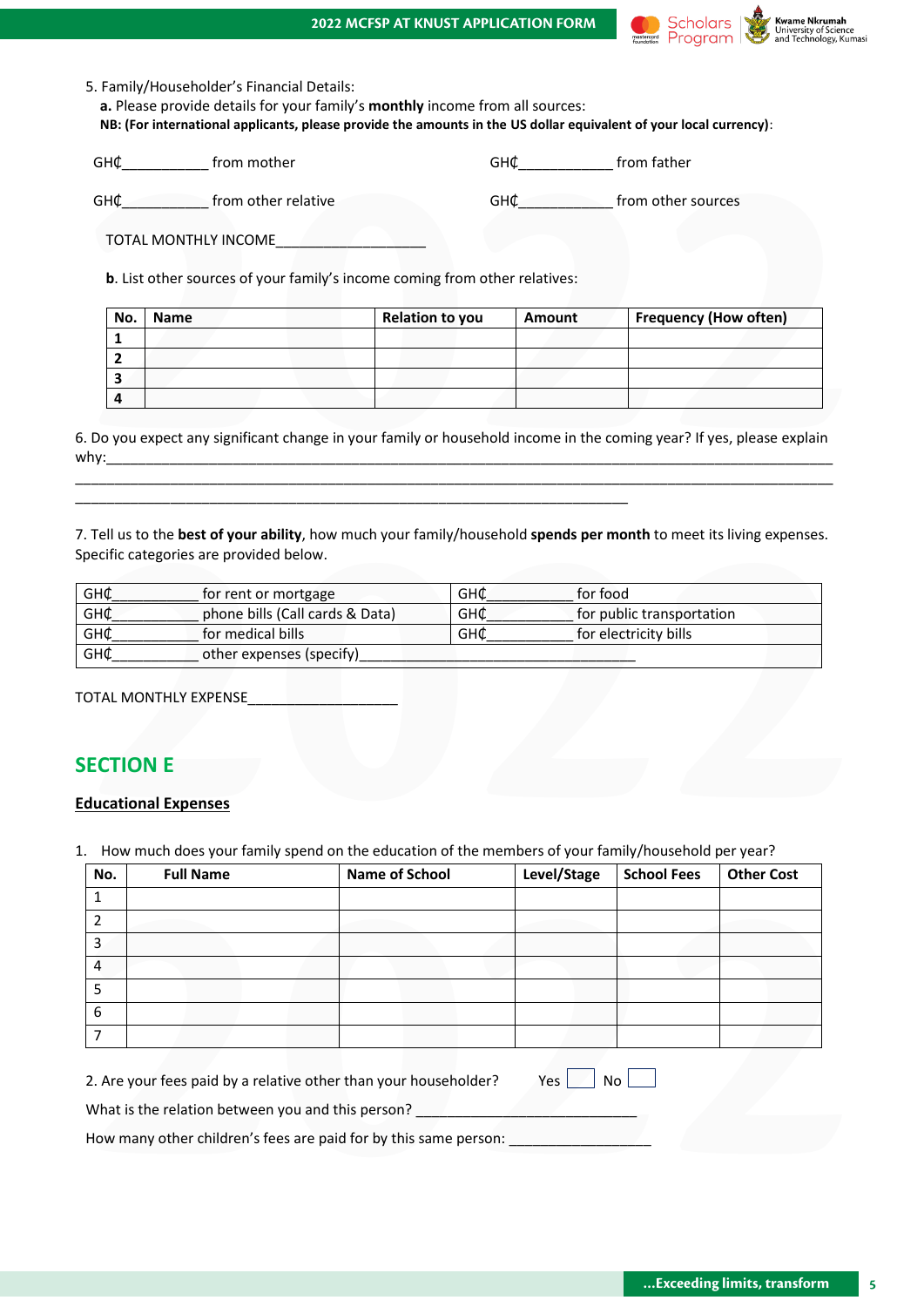#### **2022 MCFSP AT KNUST APPLICATION FORM**



5. Family/Householder's Financial Details: **a.** Please provide details for your family's **monthly** income from all sources:

 **NB: (For international applicants, please provide the amounts in the US dollar equivalent of your local currency)**:

| GH¢ from other relative<br>GH¢ from other sources<br>TOTAL MONTHLY INCOMENT AND TOTAL MONTHLY<br>b. List other sources of your family's income coming from other relatives:<br>Name<br><b>Relation to you</b><br><b>Amount</b><br>No.<br>1<br>2<br>3<br>4 | GH¢_______________ from mother |  | GH¢ from father |                              |  |  |  |  |  |  |
|-----------------------------------------------------------------------------------------------------------------------------------------------------------------------------------------------------------------------------------------------------------|--------------------------------|--|-----------------|------------------------------|--|--|--|--|--|--|
|                                                                                                                                                                                                                                                           |                                |  |                 |                              |  |  |  |  |  |  |
|                                                                                                                                                                                                                                                           |                                |  |                 |                              |  |  |  |  |  |  |
|                                                                                                                                                                                                                                                           |                                |  |                 |                              |  |  |  |  |  |  |
|                                                                                                                                                                                                                                                           |                                |  |                 |                              |  |  |  |  |  |  |
|                                                                                                                                                                                                                                                           |                                |  |                 | <b>Frequency (How often)</b> |  |  |  |  |  |  |
|                                                                                                                                                                                                                                                           |                                |  |                 |                              |  |  |  |  |  |  |
|                                                                                                                                                                                                                                                           |                                |  |                 |                              |  |  |  |  |  |  |
|                                                                                                                                                                                                                                                           |                                |  |                 |                              |  |  |  |  |  |  |
|                                                                                                                                                                                                                                                           |                                |  |                 |                              |  |  |  |  |  |  |
| . Do you expect any significant change in your family or household income in the coming year? If yes, please explain                                                                                                                                      |                                |  |                 |                              |  |  |  |  |  |  |

| GH¢<br>GH¢                  | phone bills (Call cards & Data)<br>for medical bills | <b>GH¢</b><br>GH¢ | for public transportation<br>for electricity bills |  |
|-----------------------------|------------------------------------------------------|-------------------|----------------------------------------------------|--|
| GH¢                         | other expenses (specify)                             |                   |                                                    |  |
|                             | TOTAL MONTHLY EXPENSE                                |                   |                                                    |  |
|                             |                                                      |                   |                                                    |  |
| <b>SECTION E</b>            |                                                      |                   |                                                    |  |
| <b>Educational Expenses</b> |                                                      |                   |                                                    |  |

# **SECTION E**

#### **Educational Expenses**

| No.            | <b>Full Name</b>                                  | <b>Name of School</b>                                            | Level/Stage | <b>School Fees</b> | <b>Other Cost</b> |
|----------------|---------------------------------------------------|------------------------------------------------------------------|-------------|--------------------|-------------------|
| 1              |                                                   |                                                                  |             |                    |                   |
| $\overline{2}$ |                                                   |                                                                  |             |                    |                   |
| 3              |                                                   |                                                                  |             |                    |                   |
| 4              |                                                   |                                                                  |             |                    |                   |
| 5              |                                                   |                                                                  |             |                    |                   |
| 6              |                                                   |                                                                  |             |                    |                   |
| 7              |                                                   |                                                                  |             |                    |                   |
|                | What is the relation between you and this person? | 2. Are your fees paid by a relative other than your householder? | Yes         | No <sub>1</sub>    |                   |
|                |                                                   | How many other children's fees are paid for by this same person: |             |                    |                   |
|                |                                                   |                                                                  |             |                    |                   |
|                |                                                   |                                                                  |             |                    |                   |
|                |                                                   |                                                                  |             |                    |                   |
|                |                                                   |                                                                  |             |                    |                   |
|                |                                                   |                                                                  |             |                    |                   |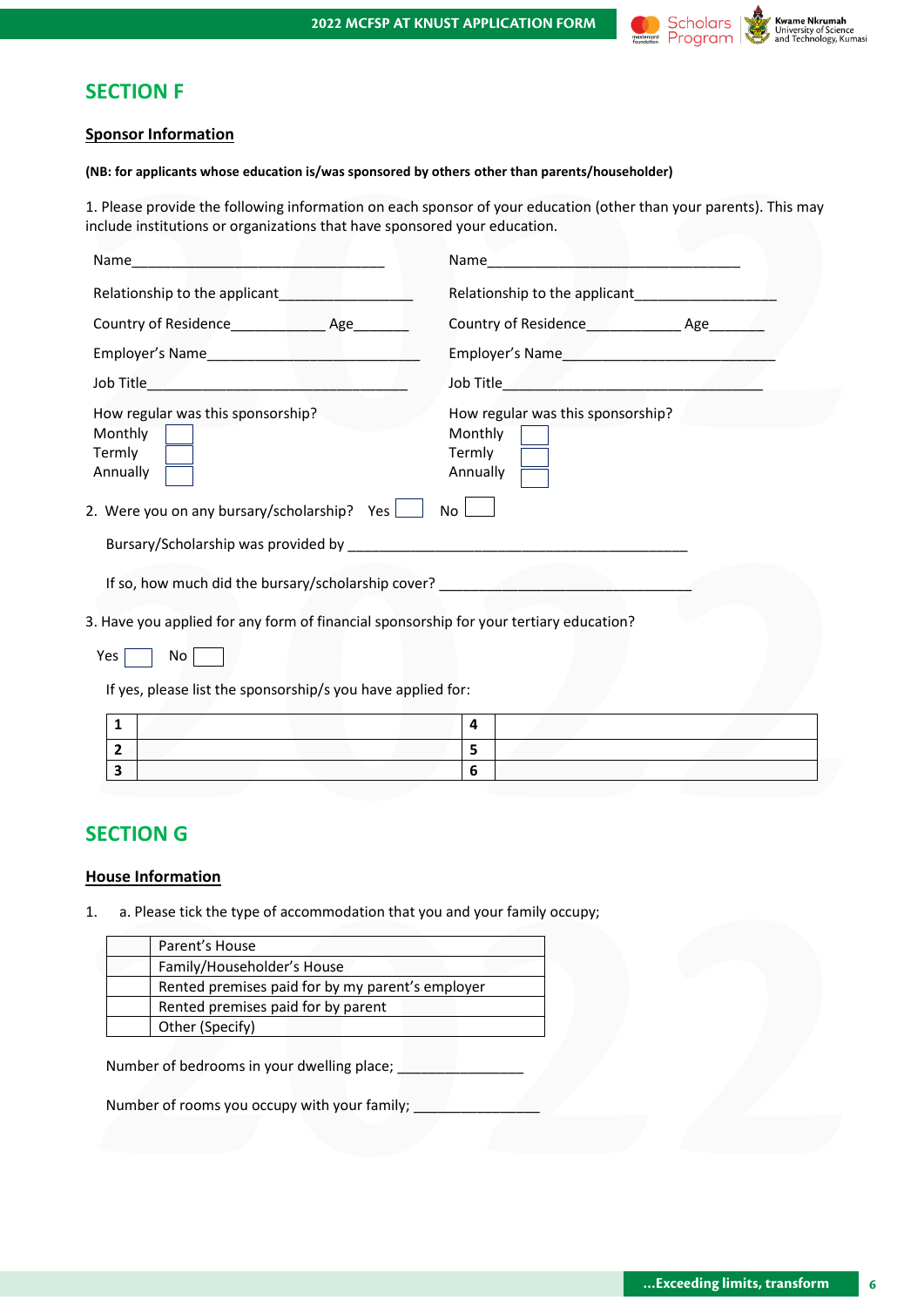

### **SECTION F**

#### **Sponsor Information**

| include institutions or organizations that have sponsored your education.                                                                                                                                                              | 1. Please provide the following information on each sponsor of your education (other than your parents). This may                                                                                             |
|----------------------------------------------------------------------------------------------------------------------------------------------------------------------------------------------------------------------------------------|---------------------------------------------------------------------------------------------------------------------------------------------------------------------------------------------------------------|
|                                                                                                                                                                                                                                        |                                                                                                                                                                                                               |
| Relationship to the applicant<br><u>Letter and the set of the set of the set of the set of the set of the set of the set of the set of the set of the set of the set of the set of the set of the set of the set of the set of the</u> | Relationship to the applicant <b>Exercises Relationship to the applicant</b>                                                                                                                                  |
|                                                                                                                                                                                                                                        | Country of Residence <b>Example 20</b> Age <b>Manuel Age Manuel Age Manuel Age Manuel Age Manuel Age Manuel Age Manuel Age Manuel Age Manuel Age Manuel Age Manuel Age Manuel Age Manuel Age Manuel Age M</b> |
|                                                                                                                                                                                                                                        |                                                                                                                                                                                                               |
|                                                                                                                                                                                                                                        | Job Title <u>Samuel Bank (1989) and the Samuel School School and School School School School School School School</u>                                                                                         |
| How regular was this sponsorship?<br>Monthly<br>Termly<br>Annually                                                                                                                                                                     | How regular was this sponsorship?<br>Monthly<br>Termly<br>Annually                                                                                                                                            |
| 2. Were you on any bursary/scholarship? Yes $\Box$                                                                                                                                                                                     | No l                                                                                                                                                                                                          |
|                                                                                                                                                                                                                                        |                                                                                                                                                                                                               |
| If so, how much did the bursary/scholarship cover?<br>The solution of the surface of the same of the bursary/scholarship cover?                                                                                                        |                                                                                                                                                                                                               |
| Yes<br>No<br>If yes, please list the sponsorship/s you have applied for:                                                                                                                                                               |                                                                                                                                                                                                               |
| 3. Have you applied for any form of financial sponsorship for your tertiary education?<br>$\mathbf{1}$                                                                                                                                 | 4                                                                                                                                                                                                             |
| $\mathbf{2}$                                                                                                                                                                                                                           | 5                                                                                                                                                                                                             |

# **SECTION G**

### **House Information**

| Parent's House                                   |  |  |
|--------------------------------------------------|--|--|
| Family/Householder's House                       |  |  |
| Rented premises paid for by my parent's employer |  |  |
| Rented premises paid for by parent               |  |  |
| Other (Specify)                                  |  |  |
| Number of rooms you occupy with your family;     |  |  |
|                                                  |  |  |
|                                                  |  |  |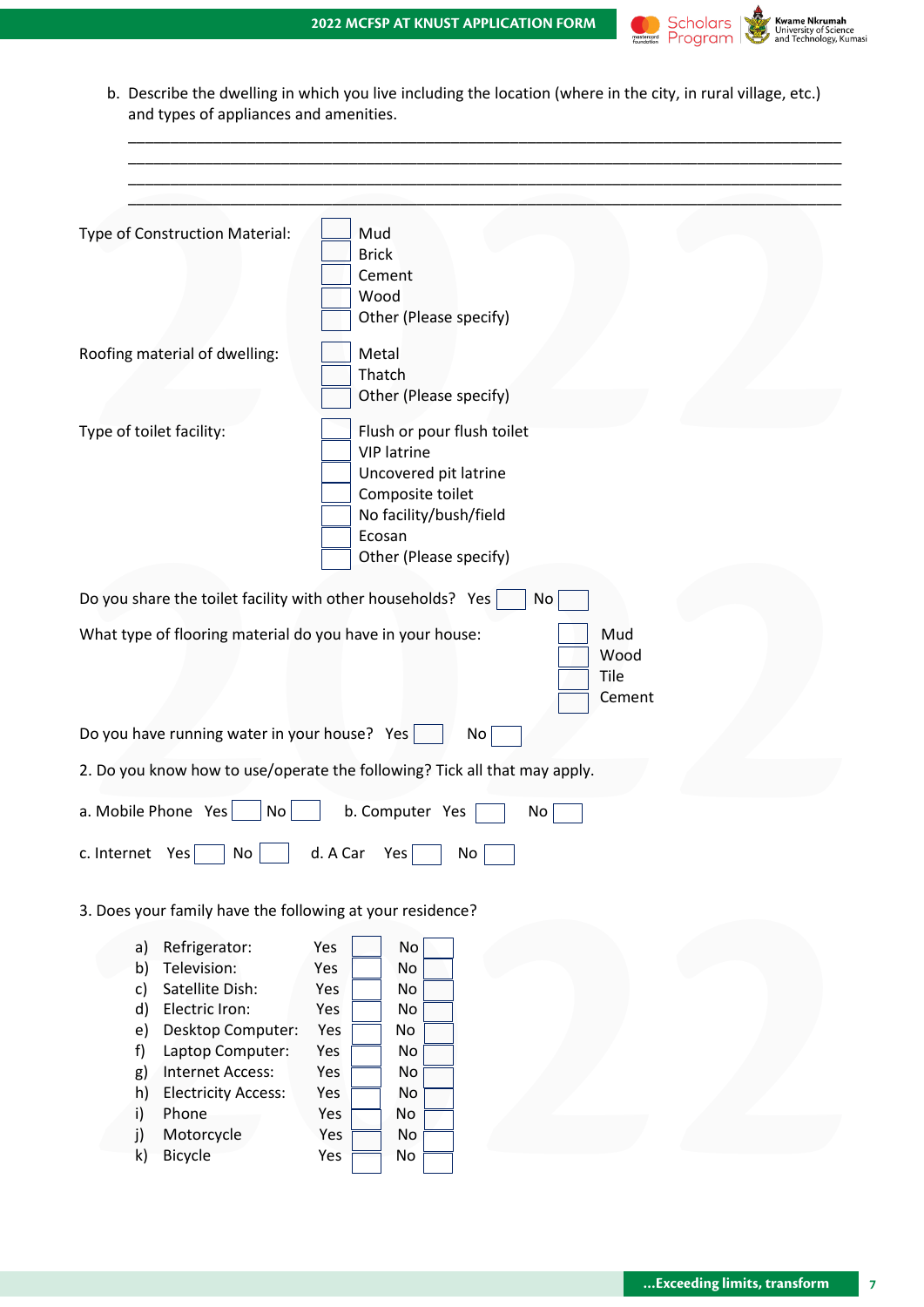

b. Describe the dwelling in which you live including the location (where in the city, in rural village, etc.) and types of appliances and amenities.

\_\_\_\_\_\_\_\_\_\_\_\_\_\_\_\_\_\_\_\_\_\_\_\_\_\_\_\_\_\_\_\_\_\_\_\_\_\_\_\_\_\_\_\_\_\_\_\_\_\_\_\_\_\_\_\_\_\_\_\_\_\_\_\_\_\_\_\_\_\_\_\_\_\_\_\_\_\_\_\_\_\_\_\_

| Type of Construction Material:<br>Mud<br><b>Brick</b><br>Cement<br>Wood<br>Other (Please specify)<br>Metal<br>Thatch<br>Other (Please specify)<br>Flush or pour flush toilet<br><b>VIP latrine</b><br>Uncovered pit latrine<br>Composite toilet<br>No facility/bush/field<br>Ecosan<br>Other (Please specify)<br>No<br>Mud<br>Wood<br>Tile<br>Cement<br>No<br>No<br>b. Computer Yes<br>No<br>d. A Car<br>No<br>Yes<br>No<br>Refrigerator:<br><b>No</b><br>Yes<br>a)<br>Television:<br>b)<br>No<br>Yes<br>Satellite Dish:<br>Yes<br>c)<br>No<br>Electric Iron:<br>Yes<br>No<br>d)<br>Desktop Computer:<br>Yes<br>e)<br>No<br>Laptop Computer:<br>f)<br>Yes<br>No<br><b>Internet Access:</b><br>Yes<br>No<br>g)<br><b>Electricity Access:</b><br>h)<br>Yes<br>No<br>Phone<br>i)<br>Yes<br>No |                         |
|--------------------------------------------------------------------------------------------------------------------------------------------------------------------------------------------------------------------------------------------------------------------------------------------------------------------------------------------------------------------------------------------------------------------------------------------------------------------------------------------------------------------------------------------------------------------------------------------------------------------------------------------------------------------------------------------------------------------------------------------------------------------------------------------|-------------------------|
| Roofing material of dwelling:<br>Type of toilet facility:<br>Do you share the toilet facility with other households? Yes<br>What type of flooring material do you have in your house:<br>Do you have running water in your house? Yes<br>2. Do you know how to use/operate the following? Tick all that may apply.<br>a. Mobile Phone Yes<br>c. Internet Yes<br>3. Does your family have the following at your residence?                                                                                                                                                                                                                                                                                                                                                                  |                         |
|                                                                                                                                                                                                                                                                                                                                                                                                                                                                                                                                                                                                                                                                                                                                                                                            |                         |
|                                                                                                                                                                                                                                                                                                                                                                                                                                                                                                                                                                                                                                                                                                                                                                                            |                         |
|                                                                                                                                                                                                                                                                                                                                                                                                                                                                                                                                                                                                                                                                                                                                                                                            |                         |
|                                                                                                                                                                                                                                                                                                                                                                                                                                                                                                                                                                                                                                                                                                                                                                                            |                         |
|                                                                                                                                                                                                                                                                                                                                                                                                                                                                                                                                                                                                                                                                                                                                                                                            |                         |
|                                                                                                                                                                                                                                                                                                                                                                                                                                                                                                                                                                                                                                                                                                                                                                                            |                         |
|                                                                                                                                                                                                                                                                                                                                                                                                                                                                                                                                                                                                                                                                                                                                                                                            |                         |
|                                                                                                                                                                                                                                                                                                                                                                                                                                                                                                                                                                                                                                                                                                                                                                                            |                         |
|                                                                                                                                                                                                                                                                                                                                                                                                                                                                                                                                                                                                                                                                                                                                                                                            |                         |
|                                                                                                                                                                                                                                                                                                                                                                                                                                                                                                                                                                                                                                                                                                                                                                                            |                         |
|                                                                                                                                                                                                                                                                                                                                                                                                                                                                                                                                                                                                                                                                                                                                                                                            |                         |
|                                                                                                                                                                                                                                                                                                                                                                                                                                                                                                                                                                                                                                                                                                                                                                                            |                         |
|                                                                                                                                                                                                                                                                                                                                                                                                                                                                                                                                                                                                                                                                                                                                                                                            |                         |
|                                                                                                                                                                                                                                                                                                                                                                                                                                                                                                                                                                                                                                                                                                                                                                                            |                         |
|                                                                                                                                                                                                                                                                                                                                                                                                                                                                                                                                                                                                                                                                                                                                                                                            |                         |
|                                                                                                                                                                                                                                                                                                                                                                                                                                                                                                                                                                                                                                                                                                                                                                                            |                         |
|                                                                                                                                                                                                                                                                                                                                                                                                                                                                                                                                                                                                                                                                                                                                                                                            |                         |
|                                                                                                                                                                                                                                                                                                                                                                                                                                                                                                                                                                                                                                                                                                                                                                                            |                         |
|                                                                                                                                                                                                                                                                                                                                                                                                                                                                                                                                                                                                                                                                                                                                                                                            |                         |
|                                                                                                                                                                                                                                                                                                                                                                                                                                                                                                                                                                                                                                                                                                                                                                                            |                         |
|                                                                                                                                                                                                                                                                                                                                                                                                                                                                                                                                                                                                                                                                                                                                                                                            |                         |
|                                                                                                                                                                                                                                                                                                                                                                                                                                                                                                                                                                                                                                                                                                                                                                                            |                         |
|                                                                                                                                                                                                                                                                                                                                                                                                                                                                                                                                                                                                                                                                                                                                                                                            |                         |
|                                                                                                                                                                                                                                                                                                                                                                                                                                                                                                                                                                                                                                                                                                                                                                                            |                         |
|                                                                                                                                                                                                                                                                                                                                                                                                                                                                                                                                                                                                                                                                                                                                                                                            |                         |
|                                                                                                                                                                                                                                                                                                                                                                                                                                                                                                                                                                                                                                                                                                                                                                                            |                         |
|                                                                                                                                                                                                                                                                                                                                                                                                                                                                                                                                                                                                                                                                                                                                                                                            |                         |
|                                                                                                                                                                                                                                                                                                                                                                                                                                                                                                                                                                                                                                                                                                                                                                                            |                         |
|                                                                                                                                                                                                                                                                                                                                                                                                                                                                                                                                                                                                                                                                                                                                                                                            |                         |
|                                                                                                                                                                                                                                                                                                                                                                                                                                                                                                                                                                                                                                                                                                                                                                                            |                         |
|                                                                                                                                                                                                                                                                                                                                                                                                                                                                                                                                                                                                                                                                                                                                                                                            |                         |
|                                                                                                                                                                                                                                                                                                                                                                                                                                                                                                                                                                                                                                                                                                                                                                                            |                         |
|                                                                                                                                                                                                                                                                                                                                                                                                                                                                                                                                                                                                                                                                                                                                                                                            |                         |
|                                                                                                                                                                                                                                                                                                                                                                                                                                                                                                                                                                                                                                                                                                                                                                                            |                         |
|                                                                                                                                                                                                                                                                                                                                                                                                                                                                                                                                                                                                                                                                                                                                                                                            |                         |
| No                                                                                                                                                                                                                                                                                                                                                                                                                                                                                                                                                                                                                                                                                                                                                                                         | Motorcycle<br>Yes<br>j) |
| Bicycle<br>$\mathsf{k}$<br>Yes<br>No                                                                                                                                                                                                                                                                                                                                                                                                                                                                                                                                                                                                                                                                                                                                                       |                         |
|                                                                                                                                                                                                                                                                                                                                                                                                                                                                                                                                                                                                                                                                                                                                                                                            |                         |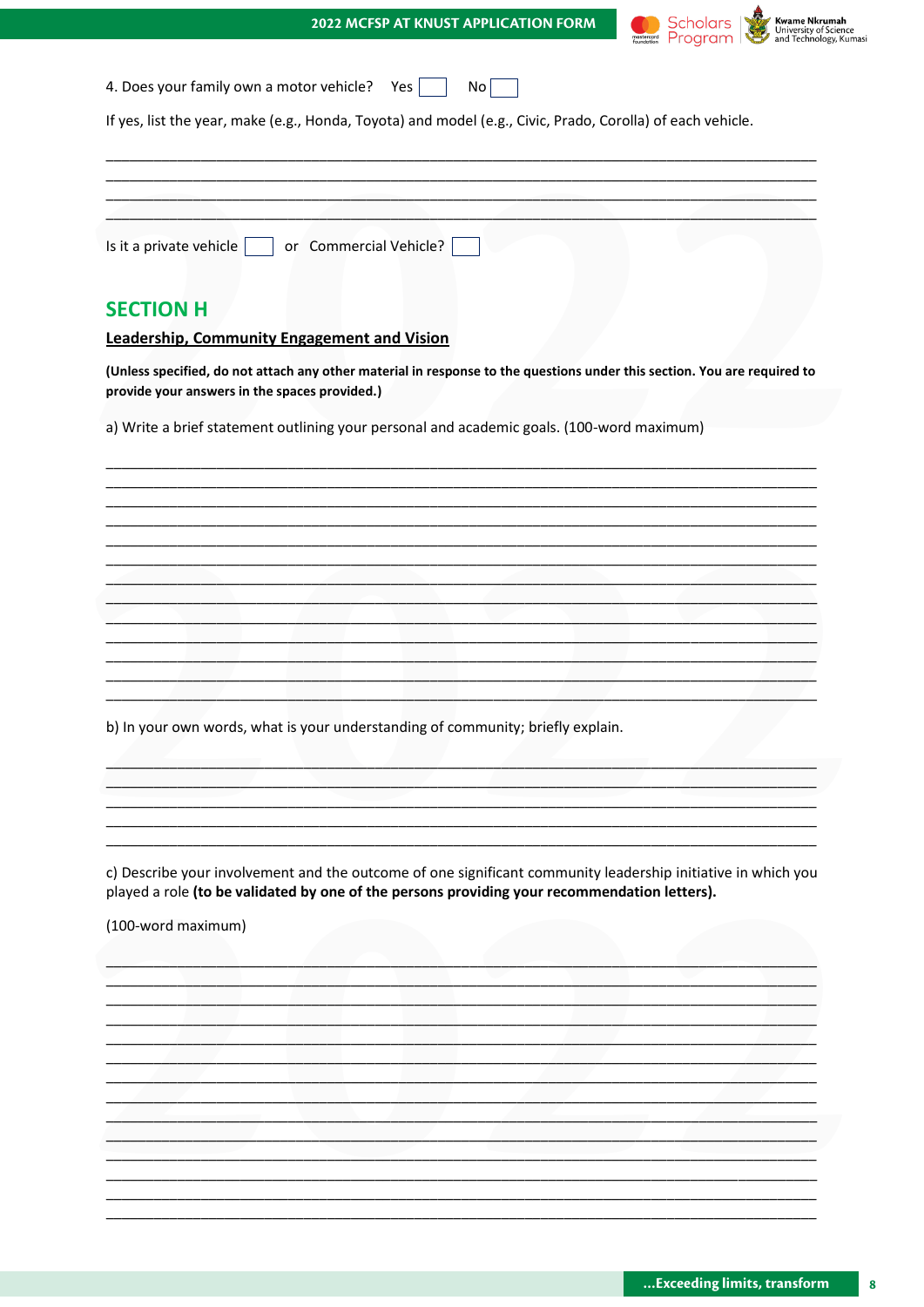|  |  | <b>2022 MCFSP AT KNUST APPLICATION FORM</b> |  |
|--|--|---------------------------------------------|--|
|  |  |                                             |  |

 $N \cap \Box$ 

┑

 $V_{\alpha\alpha}$ 



| $\tau$ . Docs your runniy own a motor vernere: Tes $\vert$                                                 |  |
|------------------------------------------------------------------------------------------------------------|--|
| If yes, list the year, make (e.g., Honda, Toyota) and model (e.g., Civic, Prado, Corolla) of each vehicle. |  |
|                                                                                                            |  |
|                                                                                                            |  |
| Is it a private vehicle $\vert \hspace{.2cm}$ or Commercial Vehicle? $\vert$                               |  |

# **SECTION H**

#### Leadership, Community Engagement and Vision

1 Does vour family own a motor vehicle?

(Unless specified, do not attach any other material in response to the questions under this section. You are required to provide your answers in the spaces provided.)

a) Write a brief statement outlining your personal and academic goals. (100-word maximum)

b) In your own words, what is your understanding of community; briefly explain.

c) Describe your involvement and the outcome of one significant community leadership initiative in which you played a role (to be validated by one of the persons providing your recommendation letters).

(100-word maximum)

 $\overline{\mathbf{8}}$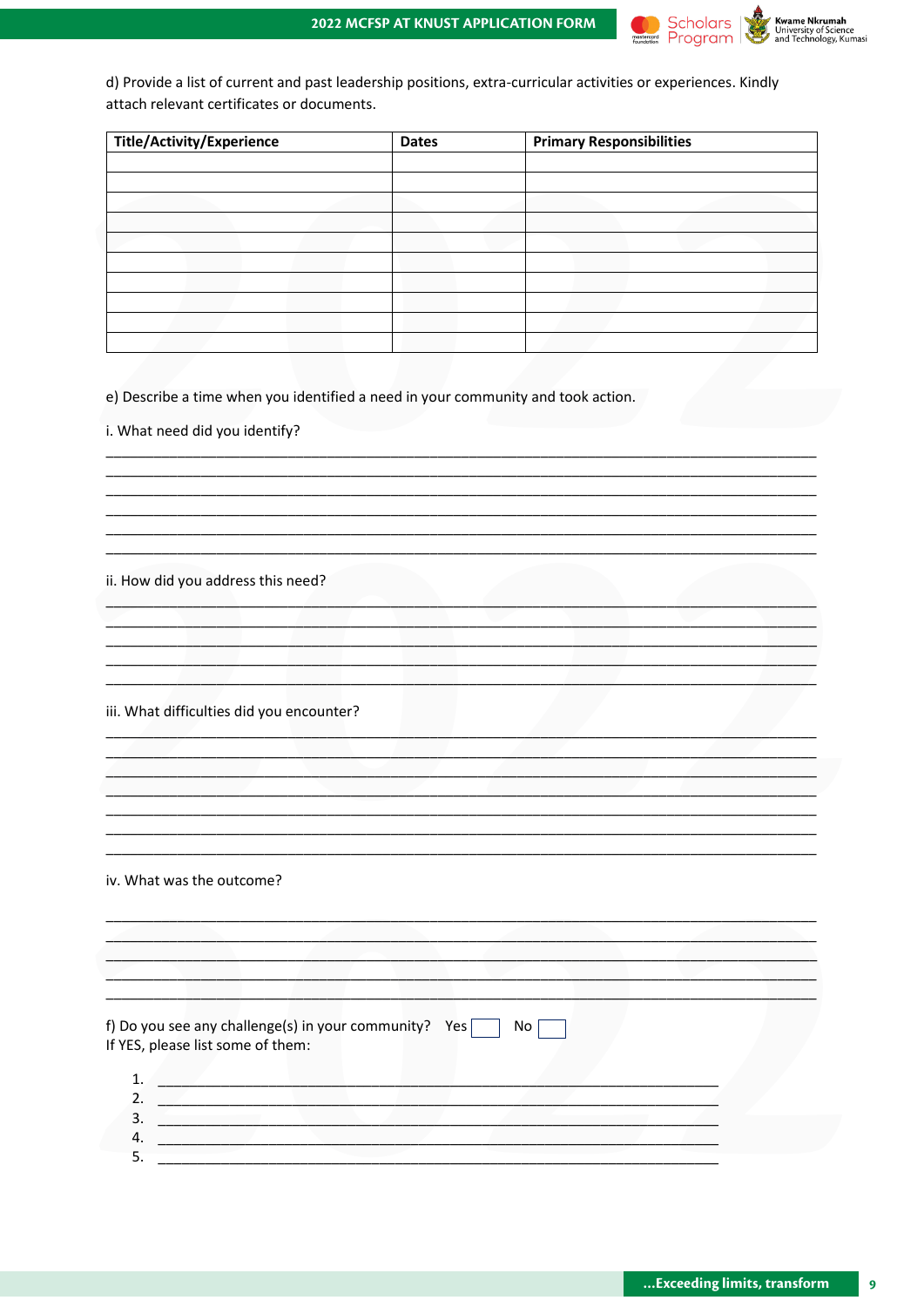

d) Provide a list of current and past leadership positions, extra-curricular activities or experiences. Kindly attach relevant certificates or documents.

| <b>Title/Activity/Experience</b> | <b>Dates</b> | <b>Primary Responsibilities</b> |
|----------------------------------|--------------|---------------------------------|
|                                  |              |                                 |
|                                  |              |                                 |
|                                  |              |                                 |
|                                  |              |                                 |
|                                  |              |                                 |
|                                  |              |                                 |
|                                  |              |                                 |
|                                  |              |                                 |
|                                  |              |                                 |
|                                  |              |                                 |

e) Describe a time when you identified a need in your community and took action.

i. What need did you identify?

ii. How did you address this need?

iii. What difficulties did you encounter?

iv. What was the outcome?

| If YES, please list some of them: | f) Do you see any challenge(s) in your community? Yes [ | No |  |
|-----------------------------------|---------------------------------------------------------|----|--|
|                                   |                                                         |    |  |
|                                   |                                                         |    |  |

 $\overline{9}$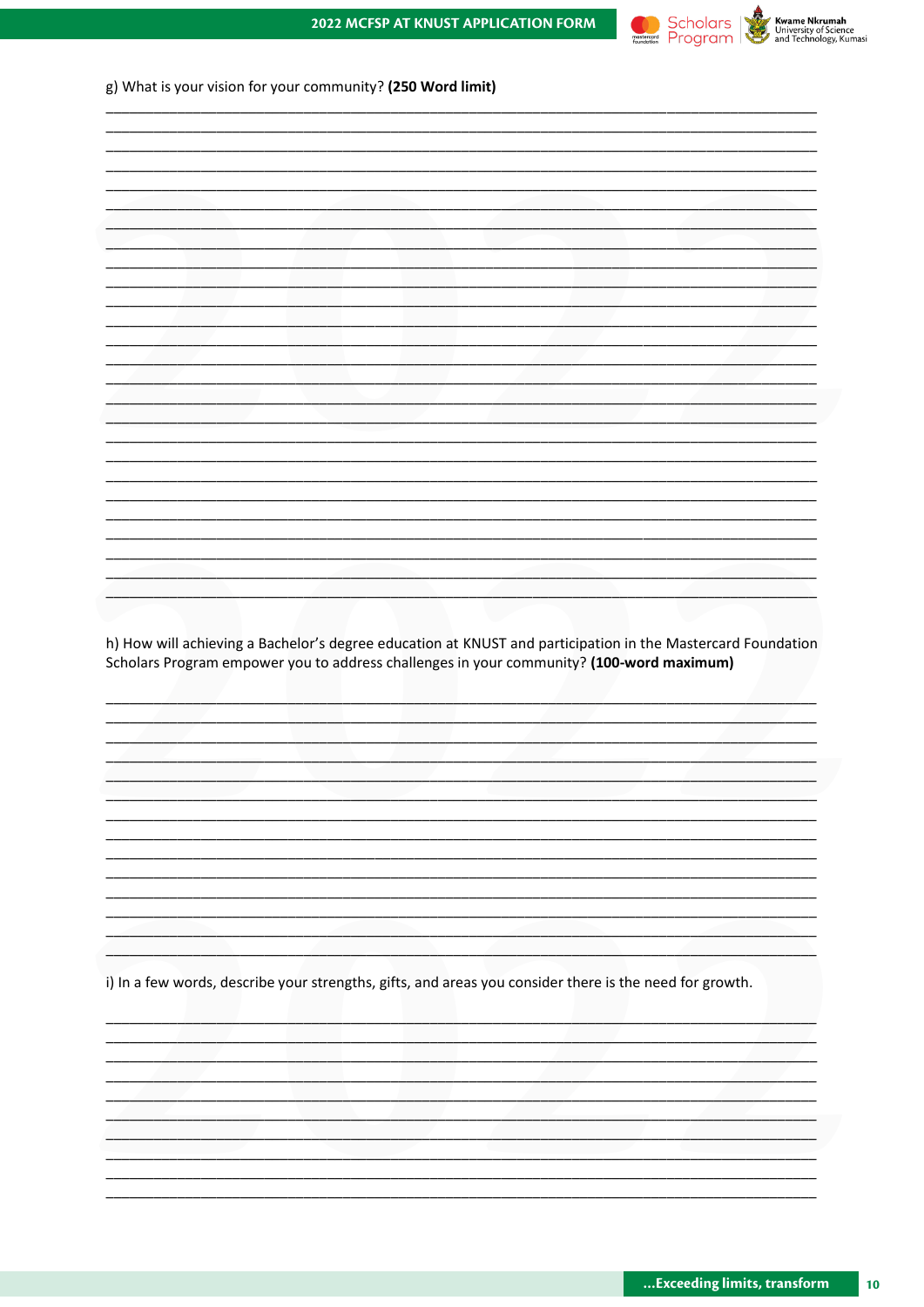



|  | g) What is your vision for your community? (250 Word limit) |
|--|-------------------------------------------------------------|
|--|-------------------------------------------------------------|

| h) How will achieving a Bachelor's degree education at KNUST and participation in the Mastercard Foundation<br>Scholars Program empower you to address challenges in your community? (100-word maximum) |  |  |  |
|---------------------------------------------------------------------------------------------------------------------------------------------------------------------------------------------------------|--|--|--|
|                                                                                                                                                                                                         |  |  |  |
|                                                                                                                                                                                                         |  |  |  |
|                                                                                                                                                                                                         |  |  |  |
|                                                                                                                                                                                                         |  |  |  |
|                                                                                                                                                                                                         |  |  |  |
|                                                                                                                                                                                                         |  |  |  |
|                                                                                                                                                                                                         |  |  |  |
|                                                                                                                                                                                                         |  |  |  |
|                                                                                                                                                                                                         |  |  |  |
|                                                                                                                                                                                                         |  |  |  |
|                                                                                                                                                                                                         |  |  |  |
|                                                                                                                                                                                                         |  |  |  |
|                                                                                                                                                                                                         |  |  |  |
|                                                                                                                                                                                                         |  |  |  |
|                                                                                                                                                                                                         |  |  |  |
|                                                                                                                                                                                                         |  |  |  |
|                                                                                                                                                                                                         |  |  |  |
|                                                                                                                                                                                                         |  |  |  |
|                                                                                                                                                                                                         |  |  |  |
|                                                                                                                                                                                                         |  |  |  |
|                                                                                                                                                                                                         |  |  |  |
|                                                                                                                                                                                                         |  |  |  |
|                                                                                                                                                                                                         |  |  |  |
|                                                                                                                                                                                                         |  |  |  |
|                                                                                                                                                                                                         |  |  |  |
|                                                                                                                                                                                                         |  |  |  |
|                                                                                                                                                                                                         |  |  |  |
| i) In a few words, describe your strengths, gifts, and areas you consider there is the need for growth.                                                                                                 |  |  |  |
|                                                                                                                                                                                                         |  |  |  |
|                                                                                                                                                                                                         |  |  |  |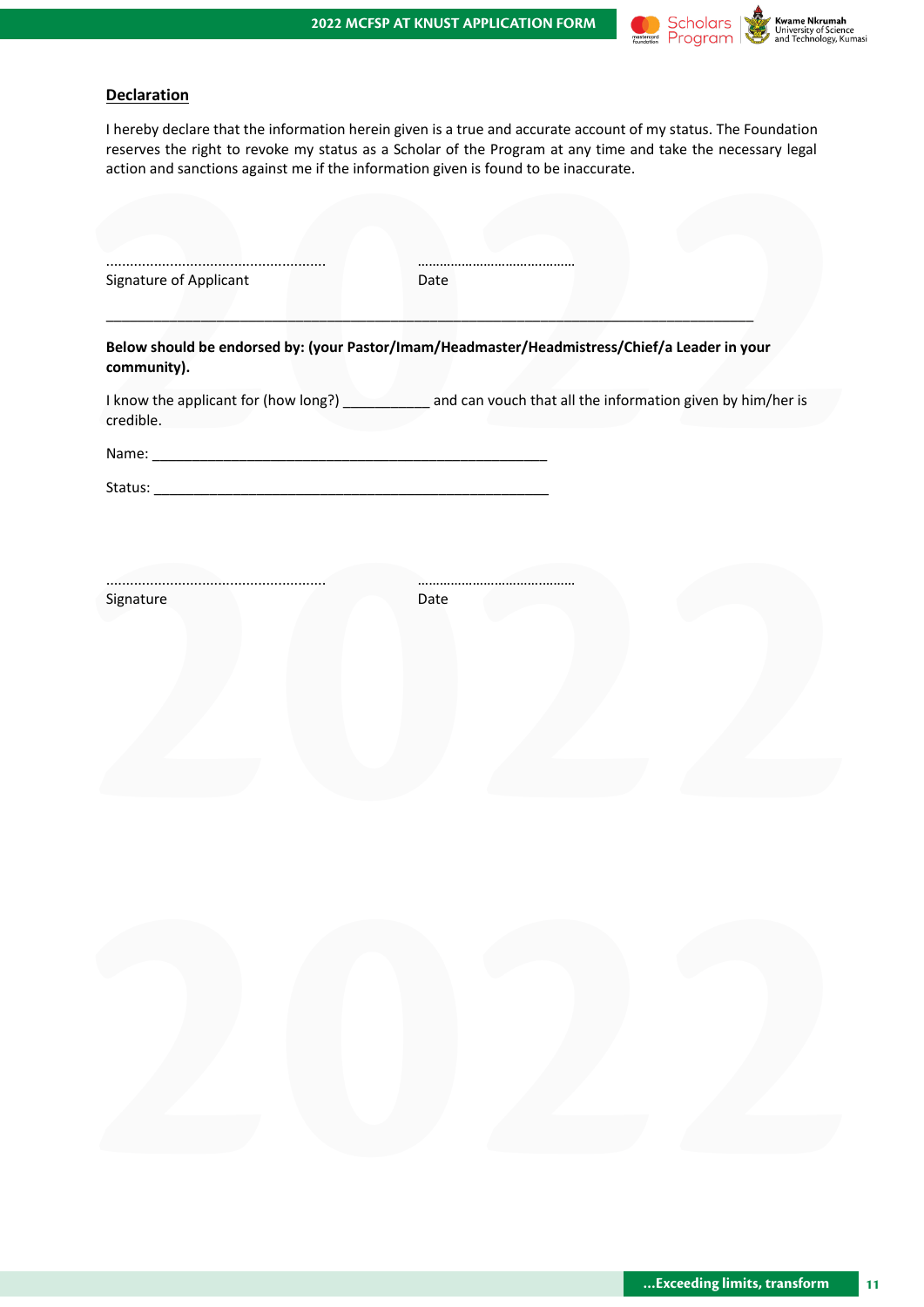

### **Declaration**

I hereby declare that the information herein given is a true and accurate account of my status. The Foundation reserves the right to revoke my status as a Scholar of the Program at any time and take the necessary legal action and sanctions against me if the information given is found to be inaccurate.

| Signature of Applicant | Date                                                                                          |
|------------------------|-----------------------------------------------------------------------------------------------|
| community).            | Below should be endorsed by: (your Pastor/Imam/Headmaster/Headmistress/Chief/a Leader in your |
| credible.              |                                                                                               |
|                        |                                                                                               |
|                        |                                                                                               |
|                        |                                                                                               |
|                        |                                                                                               |
| Signature              | Date                                                                                          |
|                        |                                                                                               |
|                        |                                                                                               |
|                        |                                                                                               |
|                        |                                                                                               |
|                        |                                                                                               |
|                        |                                                                                               |
|                        |                                                                                               |
|                        |                                                                                               |
|                        |                                                                                               |
|                        |                                                                                               |
|                        |                                                                                               |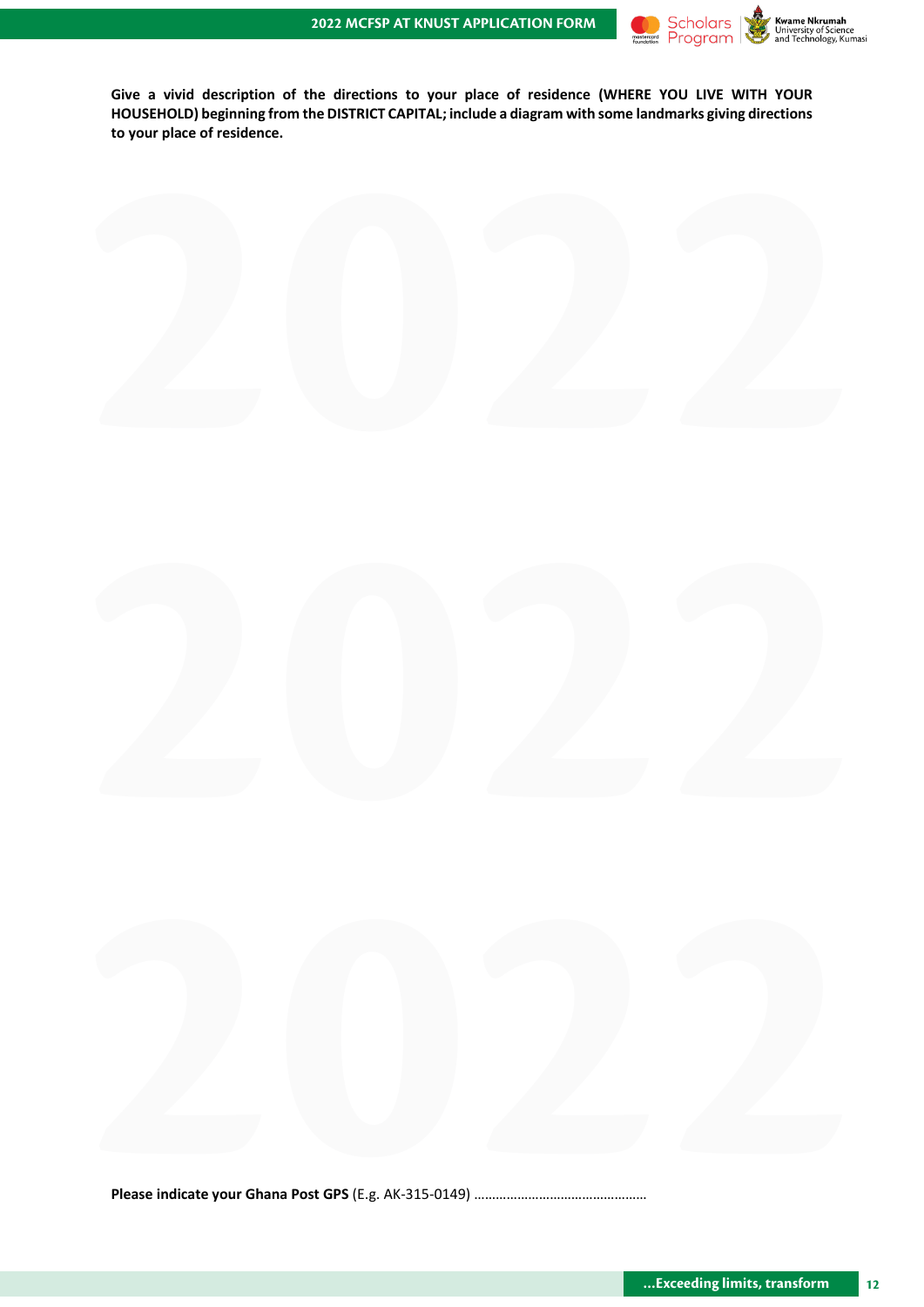

**Give a vivid description of the directions to your place of residence (WHERE YOU LIVE WITH YOUR HOUSEHOLD) beginning from the DISTRICT CAPITAL; include a diagram with some landmarks giving directions to your place of residence.**

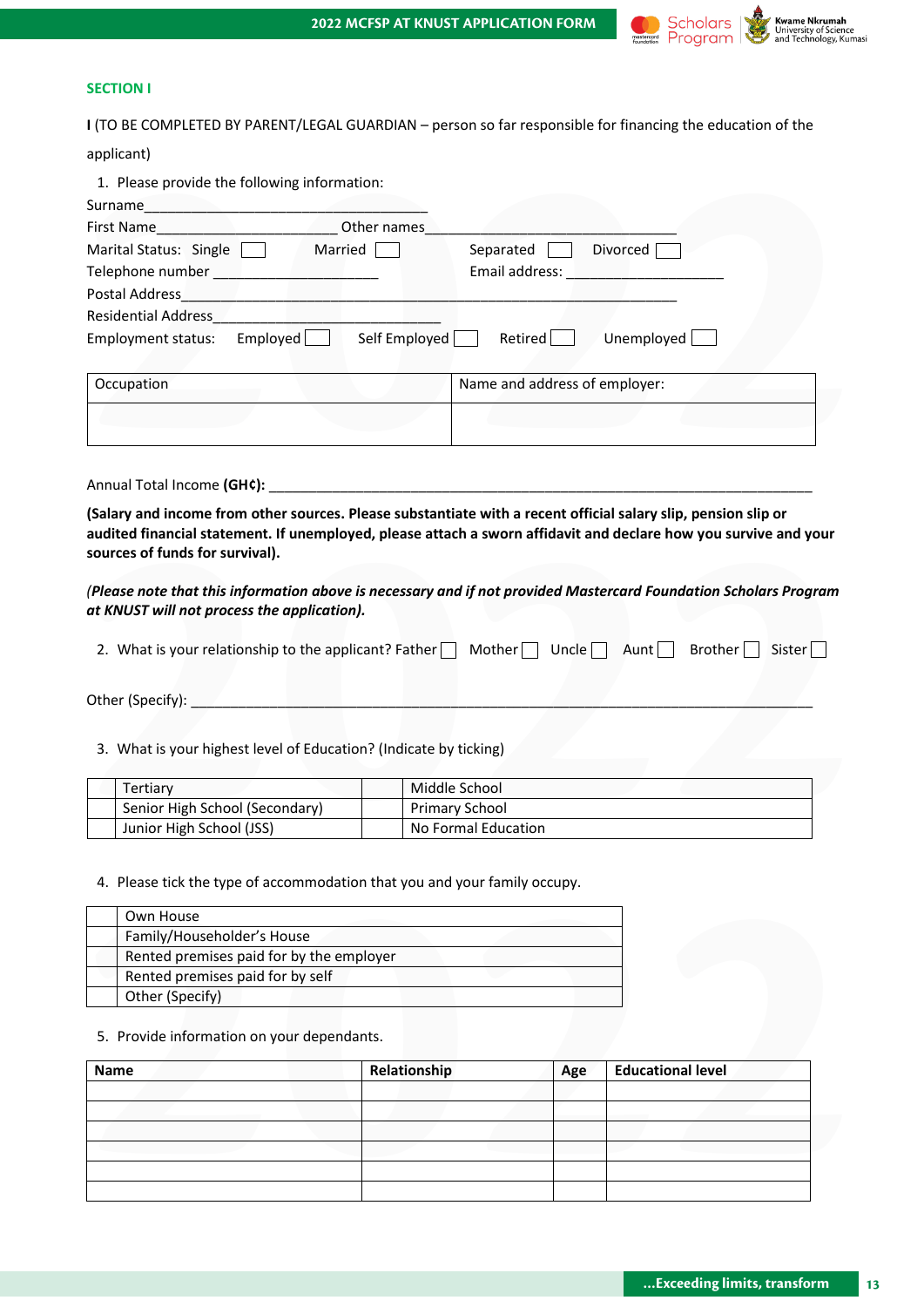

#### **SECTION I**

**I** (TO BE COMPLETED BY PARENT/LEGAL GUARDIAN – person so far responsible for financing the education of the

| applicant)                                                                                                                                                                                                                                    |              |                               |     |                                                                                                                                                                                                                                |
|-----------------------------------------------------------------------------------------------------------------------------------------------------------------------------------------------------------------------------------------------|--------------|-------------------------------|-----|--------------------------------------------------------------------------------------------------------------------------------------------------------------------------------------------------------------------------------|
| 1. Please provide the following information:                                                                                                                                                                                                  |              |                               |     |                                                                                                                                                                                                                                |
|                                                                                                                                                                                                                                               |              |                               |     |                                                                                                                                                                                                                                |
|                                                                                                                                                                                                                                               |              |                               |     |                                                                                                                                                                                                                                |
| Marital Status: Single   Married                                                                                                                                                                                                              |              | Separated Divorced            |     |                                                                                                                                                                                                                                |
|                                                                                                                                                                                                                                               |              |                               |     | Email address: North and Senator Management and Senator Management and Senator Management and Senator Management and Senator Management and Senator Management and Senator Management and Senator Management and Senator Manag |
|                                                                                                                                                                                                                                               |              |                               |     |                                                                                                                                                                                                                                |
|                                                                                                                                                                                                                                               |              |                               |     |                                                                                                                                                                                                                                |
| Employment status: Employed Self Employed Retired                                                                                                                                                                                             |              |                               |     | Unemployed [                                                                                                                                                                                                                   |
|                                                                                                                                                                                                                                               |              |                               |     |                                                                                                                                                                                                                                |
| Occupation                                                                                                                                                                                                                                    |              | Name and address of employer: |     |                                                                                                                                                                                                                                |
|                                                                                                                                                                                                                                               |              |                               |     |                                                                                                                                                                                                                                |
|                                                                                                                                                                                                                                               |              |                               |     |                                                                                                                                                                                                                                |
| (Salary and income from other sources. Please substantiate with a recent official salary slip, pension slip or                                                                                                                                |              |                               |     |                                                                                                                                                                                                                                |
| audited financial statement. If unemployed, please attach a sworn affidavit and declare how you survive and your<br>sources of funds for survival).                                                                                           |              |                               |     |                                                                                                                                                                                                                                |
| (Please note that this information above is necessary and if not provided Mastercard Foundation Scholars Program<br>at KNUST will not process the application).                                                                               |              |                               |     |                                                                                                                                                                                                                                |
|                                                                                                                                                                                                                                               |              |                               |     |                                                                                                                                                                                                                                |
|                                                                                                                                                                                                                                               |              |                               |     |                                                                                                                                                                                                                                |
|                                                                                                                                                                                                                                               |              |                               |     | Brother<br>Sister<br>$\blacksquare$                                                                                                                                                                                            |
| 2. What is your relationship to the applicant? Father $\Box$ Mother $\Box$ Uncle $\Box$ Aunt $\Box$                                                                                                                                           |              |                               |     |                                                                                                                                                                                                                                |
|                                                                                                                                                                                                                                               |              |                               |     |                                                                                                                                                                                                                                |
|                                                                                                                                                                                                                                               |              |                               |     |                                                                                                                                                                                                                                |
|                                                                                                                                                                                                                                               |              |                               |     |                                                                                                                                                                                                                                |
| 3. What is your highest level of Education? (Indicate by ticking)                                                                                                                                                                             |              |                               |     |                                                                                                                                                                                                                                |
|                                                                                                                                                                                                                                               |              |                               |     |                                                                                                                                                                                                                                |
| Tertiary                                                                                                                                                                                                                                      |              | Middle School                 |     |                                                                                                                                                                                                                                |
| Senior High School (Secondary)                                                                                                                                                                                                                |              | Primary School                |     |                                                                                                                                                                                                                                |
| Junior High School (JSS)                                                                                                                                                                                                                      |              | No Formal Education           |     |                                                                                                                                                                                                                                |
|                                                                                                                                                                                                                                               |              |                               |     |                                                                                                                                                                                                                                |
|                                                                                                                                                                                                                                               |              |                               |     |                                                                                                                                                                                                                                |
|                                                                                                                                                                                                                                               |              |                               |     |                                                                                                                                                                                                                                |
| Own House                                                                                                                                                                                                                                     |              |                               |     |                                                                                                                                                                                                                                |
| Family/Householder's House                                                                                                                                                                                                                    |              |                               |     |                                                                                                                                                                                                                                |
| Rented premises paid for by the employer                                                                                                                                                                                                      |              |                               |     |                                                                                                                                                                                                                                |
| Rented premises paid for by self                                                                                                                                                                                                              |              |                               |     |                                                                                                                                                                                                                                |
| 4. Please tick the type of accommodation that you and your family occupy.<br>Other (Specify)                                                                                                                                                  |              |                               |     |                                                                                                                                                                                                                                |
| 5. Provide information on your dependants.                                                                                                                                                                                                    |              |                               |     |                                                                                                                                                                                                                                |
|                                                                                                                                                                                                                                               | Relationship |                               | Age | <b>Educational level</b>                                                                                                                                                                                                       |
|                                                                                                                                                                                                                                               |              |                               |     |                                                                                                                                                                                                                                |
|                                                                                                                                                                                                                                               |              |                               |     |                                                                                                                                                                                                                                |
|                                                                                                                                                                                                                                               |              |                               |     |                                                                                                                                                                                                                                |
|                                                                                                                                                                                                                                               |              |                               |     |                                                                                                                                                                                                                                |
|                                                                                                                                                                                                                                               |              |                               |     |                                                                                                                                                                                                                                |
| Other (Specify): Network of the Contract of the Contract of the Contract of the Contract of the Contract of the Contract of the Contract of the Contract of the Contract of the Contract of the Contract of the Contract of th<br><b>Name</b> |              |                               |     |                                                                                                                                                                                                                                |

| <b>Name</b> | Relationship | Age | <b>Educational level</b> |
|-------------|--------------|-----|--------------------------|
|             |              |     |                          |
|             |              |     |                          |
|             |              |     |                          |
|             |              |     |                          |
|             |              |     |                          |
|             |              |     |                          |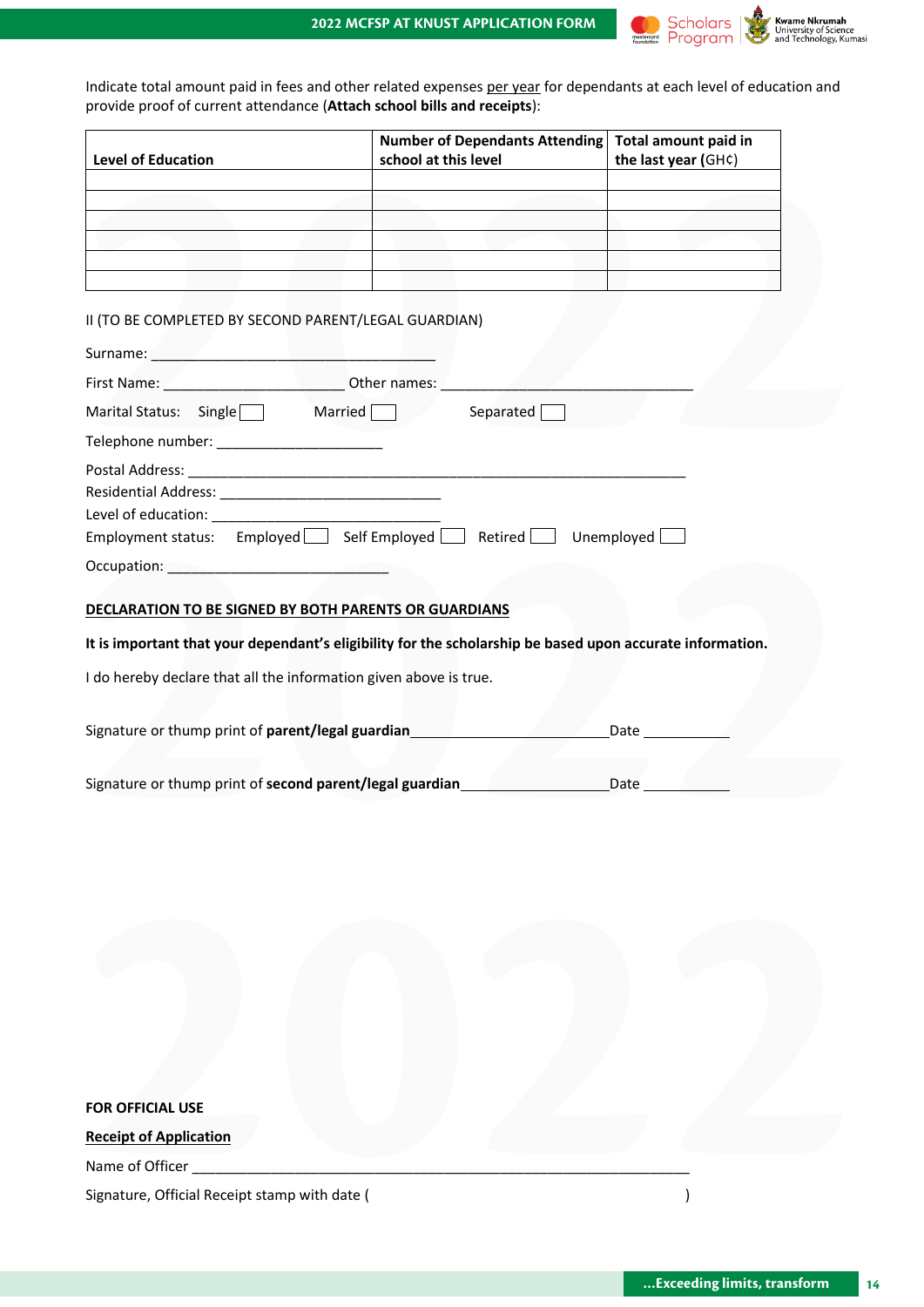

Indicate total amount paid in fees and other related expenses per year for dependants at each level of education and provide proof of current attendance (**Attach school bills and receipts**):

| <b>Level of Education</b> | Number of Dependants Attending<br>school at this level | Total amount paid in<br>the last year (GH¢) |
|---------------------------|--------------------------------------------------------|---------------------------------------------|
|                           |                                                        |                                             |
|                           |                                                        |                                             |
|                           |                                                        |                                             |
|                           |                                                        |                                             |
|                           |                                                        |                                             |
|                           |                                                        |                                             |

#### II (TO BE COMPLETED BY SECOND PARENT/LEGAL GUARDIAN)

|                                                                                                   | <b>Number of Dependants Attending</b><br>school at this level                                             | Total amount paid in<br>the last year (GH¢) |
|---------------------------------------------------------------------------------------------------|-----------------------------------------------------------------------------------------------------------|---------------------------------------------|
|                                                                                                   |                                                                                                           |                                             |
|                                                                                                   |                                                                                                           |                                             |
|                                                                                                   |                                                                                                           |                                             |
|                                                                                                   |                                                                                                           |                                             |
|                                                                                                   |                                                                                                           |                                             |
| II (TO BE COMPLETED BY SECOND PARENT/LEGAL GUARDIAN)                                              |                                                                                                           |                                             |
|                                                                                                   |                                                                                                           |                                             |
| First Name: <u>Andrew Communications Other names: Andrew Communications of the Communications</u> |                                                                                                           |                                             |
| Marital Status: Single Married Separated                                                          |                                                                                                           |                                             |
|                                                                                                   |                                                                                                           |                                             |
|                                                                                                   |                                                                                                           |                                             |
|                                                                                                   |                                                                                                           |                                             |
| Level of education: Level of education:                                                           |                                                                                                           |                                             |
|                                                                                                   | Employment status: Employed Self Employed Retired Unemployed                                              |                                             |
| Occupation: New York Products and Security Assembly Products and Security Assembly                |                                                                                                           |                                             |
|                                                                                                   |                                                                                                           |                                             |
|                                                                                                   |                                                                                                           |                                             |
|                                                                                                   |                                                                                                           |                                             |
| <b>DECLARATION TO BE SIGNED BY BOTH PARENTS OR GUARDIANS</b>                                      | It is important that your dependant's eligibility for the scholarship be based upon accurate information. |                                             |
| I do hereby declare that all the information given above is true.                                 |                                                                                                           |                                             |
|                                                                                                   |                                                                                                           |                                             |
| Signature or thump print of parent/legal guardian                                                 |                                                                                                           | Date $\_\_$                                 |
|                                                                                                   |                                                                                                           |                                             |

### **It is important that your dependant's eligibility for the scholarship be based upon accurate information.**

| Signature or thump print of parent/legal guardian | Date |
|---------------------------------------------------|------|
|                                                   |      |
|                                                   |      |

| Signature or thump print of second parent/legal guardian | Date |  |
|----------------------------------------------------------|------|--|
|                                                          |      |  |

| <b>FOR OFFICIAL USE</b>                       |  |
|-----------------------------------------------|--|
| <b>Receipt of Application</b>                 |  |
| Name of Officer                               |  |
| Signature, Official Receipt stamp with date ( |  |
|                                               |  |
|                                               |  |